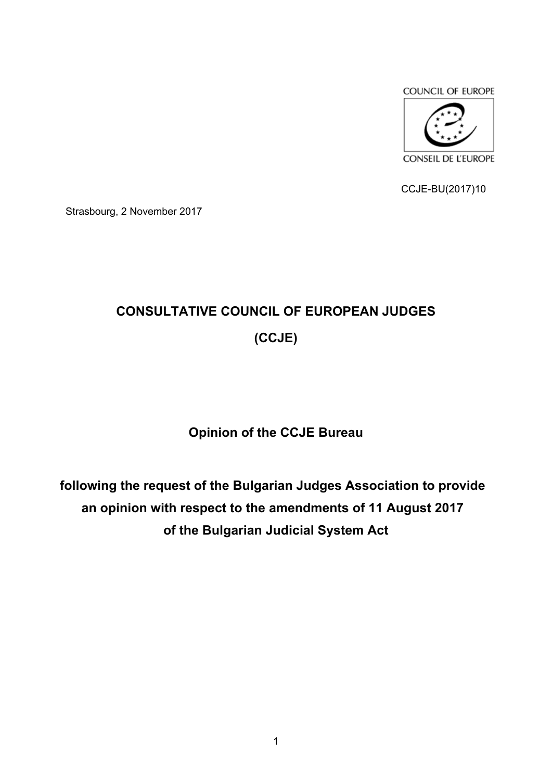



CCJE-BU(2017)10

Strasbourg, 2 November 2017

# **CONSULTATIVE COUNCIL OF EUROPEAN JUDGES (CCJE)**

**Opinion of the CCJE Bureau** 

**following the request of the Bulgarian Judges Association to provide an opinion with respect to the amendments of 11 August 2017 of the Bulgarian Judicial System Act**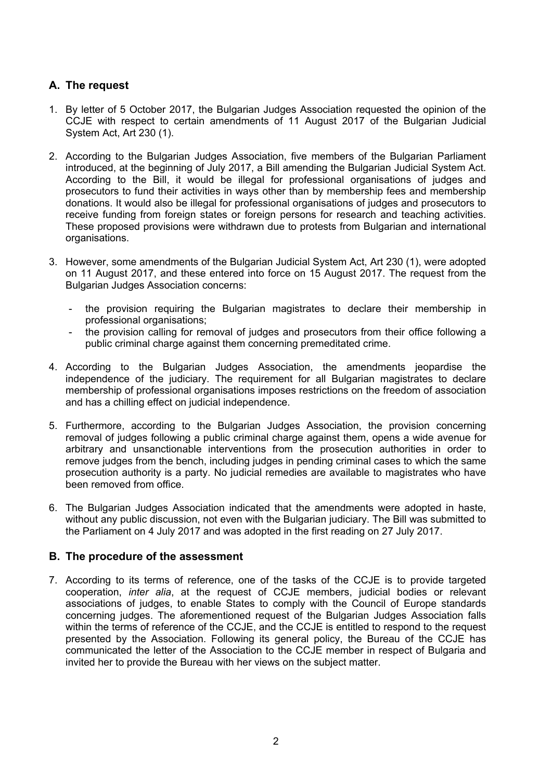# **A. The request**

- 1. By letter of 5 October 2017, the Bulgarian Judges Association requested the opinion of the CCJE with respect to certain amendments of 11 August 2017 of the Bulgarian Judicial System Act, Art 230 (1).
- 2. According to the Bulgarian Judges Association, five members of the Bulgarian Parliament introduced, at the beginning of July 2017, a Bill amending the Bulgarian Judicial System Act. According to the Bill, it would be illegal for professional organisations of judges and prosecutors to fund their activities in ways other than by membership fees and membership donations. It would also be illegal for professional organisations of judges and prosecutors to receive funding from foreign states or foreign persons for research and teaching activities. These proposed provisions were withdrawn due to protests from Bulgarian and international organisations.
- 3. However, some amendments of the Bulgarian Judicial System Act, Art 230 (1), were adopted on 11 August 2017, and these entered into force on 15 August 2017. The request from the Bulgarian Judges Association concerns:
	- the provision requiring the Bulgarian magistrates to declare their membership in professional organisations;
	- the provision calling for removal of judges and prosecutors from their office following a public criminal charge against them concerning premeditated crime.
- 4. According to the Bulgarian Judges Association, the amendments jeopardise the independence of the judiciary. The requirement for all Bulgarian magistrates to declare membership of professional organisations imposes restrictions on the freedom of association and has a chilling effect on judicial independence.
- 5. Furthermore, according to the Bulgarian Judges Association, the provision concerning removal of judges following a public criminal charge against them, opens a wide avenue for arbitrary and unsanctionable interventions from the prosecution authorities in order to remove judges from the bench, including judges in pending criminal cases to which the same prosecution authority is a party. No judicial remedies are available to magistrates who have been removed from office.
- 6. The Bulgarian Judges Association indicated that the amendments were adopted in haste, without any public discussion, not even with the Bulgarian judiciary. The Bill was submitted to the Parliament on 4 July 2017 and was adopted in the first reading on 27 July 2017.

#### **B. The procedure of the assessment**

7. According to its terms of reference, one of the tasks of the CCJE is to provide targeted cooperation, *inter alia*, at the request of CCJE members, judicial bodies or relevant associations of judges, to enable States to comply with the Council of Europe standards concerning judges. The aforementioned request of the Bulgarian Judges Association falls within the terms of reference of the CCJE, and the CCJE is entitled to respond to the request presented by the Association. Following its general policy, the Bureau of the CCJE has communicated the letter of the Association to the CCJE member in respect of Bulgaria and invited her to provide the Bureau with her views on the subject matter.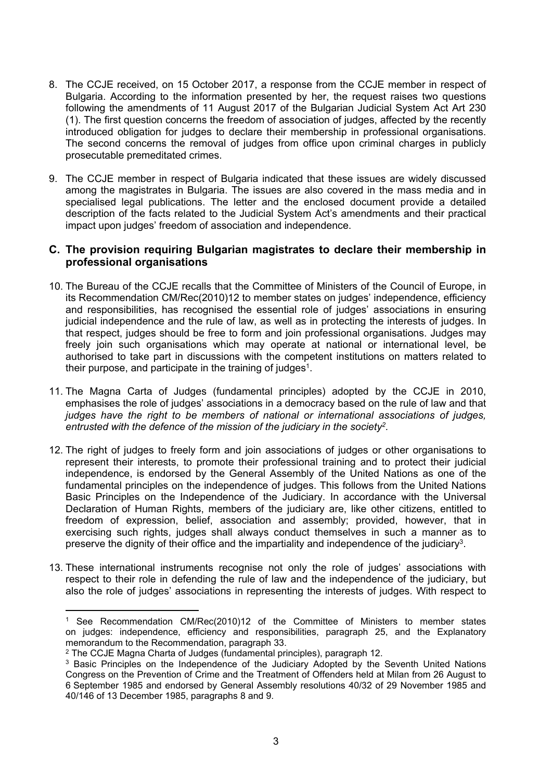- 8. The CCJE received, on 15 October 2017, a response from the CCJE member in respect of Bulgaria. According to the information presented by her, the request raises two questions following the amendments of 11 August 2017 of the Bulgarian Judicial System Act Art 230 (1). The first question concerns the freedom of association of judges, affected by the recently introduced obligation for judges to declare their membership in professional organisations. The second concerns the removal of judges from office upon criminal charges in publicly prosecutable premeditated crimes.
- 9. The CCJE member in respect of Bulgaria indicated that these issues are widely discussed among the magistrates in Bulgaria. The issues are also covered in the mass media and in specialised legal publications. The letter and the enclosed document provide a detailed description of the facts related to the Judicial System Act's amendments and their practical impact upon judges' freedom of association and independence.

### **C. The provision requiring Bulgarian magistrates to declare their membership in professional organisations**

- 10. The Bureau of the CCJE recalls that the Committee of Ministers of the Council of Europe, in its Recommendation CM/Rec(2010)12 to member states on judges' independence, efficiency and responsibilities, has recognised the essential role of judges' associations in ensuring judicial independence and the rule of law, as well as in protecting the interests of judges. In that respect, judges should be free to form and join professional organisations. Judges may freely join such organisations which may operate at national or international level, be authorised to take part in discussions with the competent institutions on matters related to their purpose, and participate in the training of judges<sup>1</sup>.
- 11. The Magna Carta of Judges (fundamental principles) adopted by the CCJE in 2010, emphasises the role of judges' associations in a democracy based on the rule of law and that *judges have the right to be members of national or international associations of judges, entrusted with the defence of the mission of the judiciary in the society<sup>2</sup> .*
- 12. The right of judges to freely form and join associations of judges or other organisations to represent their interests, to promote their professional training and to protect their judicial independence, is endorsed by the General Assembly of the United Nations as one of the fundamental principles on the independence of judges. This follows from the United Nations Basic Principles on the Independence of the Judiciary. In accordance with the Universal Declaration of Human Rights, members of the judiciary are, like other citizens, entitled to freedom of expression, belief, association and assembly; provided, however, that in exercising such rights, judges shall always conduct themselves in such a manner as to preserve the dignity of their office and the impartiality and independence of the judiciary<sup>3</sup>.
- 13. These international instruments recognise not only the role of judges' associations with respect to their role in defending the rule of law and the independence of the judiciary, but also the role of judges' associations in representing the interests of judges. With respect to

<sup>1</sup> See Recommendation CM/Rec(2010)12 of the Committee of Ministers to member states on judges: independence, efficiency and responsibilities, paragraph 25, and the Explanatory memorandum to the Recommendation, paragraph 33.

<sup>2</sup> The CCJE Magna Charta of Judges (fundamental principles), paragraph 12.

<sup>&</sup>lt;sup>3</sup> Basic Principles on the Independence of the Judiciary Adopted by the Seventh United Nations Congress on the Prevention of Crime and the Treatment of Offenders held at Milan from 26 August to 6 September 1985 and endorsed by General Assembly resolutions 40/32 of 29 November 1985 and 40/146 of 13 December 1985, paragraphs 8 and 9.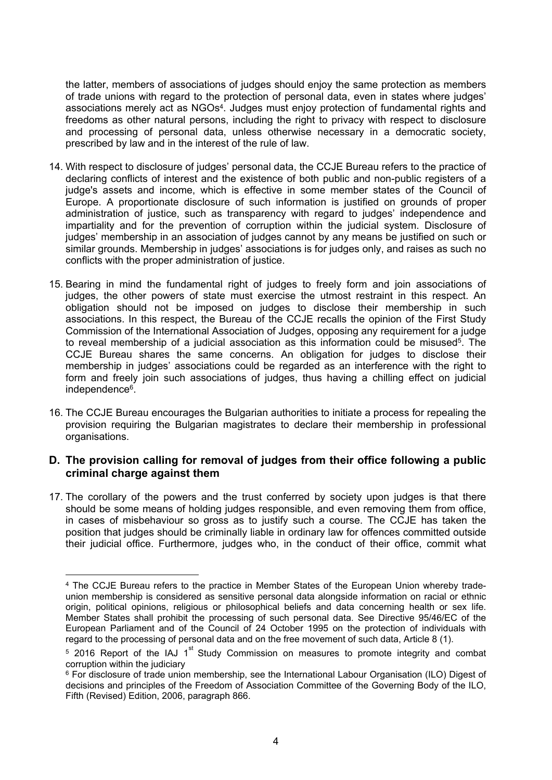the latter, members of associations of judges should enjoy the same protection as members of trade unions with regard to the protection of personal data, even in states where judges' associations merely act as NGOs<sup>4</sup>. Judges must enjoy protection of fundamental rights and freedoms as other natural persons, including the right to privacy with respect to disclosure and processing of personal data, unless otherwise necessary in a democratic society, prescribed by law and in the interest of the rule of law.

- 14. With respect to disclosure of judges' personal data, the CCJE Bureau refers to the practice of declaring conflicts of interest and the existence of both public and non-public registers of a judge's assets and income, which is effective in some member states of the Council of Europe. A proportionate disclosure of such information is justified on grounds of proper administration of justice, such as transparency with regard to judges' independence and impartiality and for the prevention of corruption within the judicial system. Disclosure of judges' membership in an association of judges cannot by any means be justified on such or similar grounds. Membership in judges' associations is for judges only, and raises as such no conflicts with the proper administration of justice.
- 15. Bearing in mind the fundamental right of judges to freely form and join associations of judges, the other powers of state must exercise the utmost restraint in this respect. An obligation should not be imposed on judges to disclose their membership in such associations. In this respect, the Bureau of the CCJE recalls the opinion of the First Study Commission of the International Association of Judges, opposing any requirement for a judge to reveal membership of a judicial association as this information could be misused<sup>5</sup>. The CCJE Bureau shares the same concerns. An obligation for judges to disclose their membership in judges' associations could be regarded as an interference with the right to form and freely join such associations of judges, thus having a chilling effect on judicial independence<sup>6</sup>.
- 16. The CCJE Bureau encourages the Bulgarian authorities to initiate a process for repealing the provision requiring the Bulgarian magistrates to declare their membership in professional organisations.

## **D. The provision calling for removal of judges from their office following a public criminal charge against them**

17. The corollary of the powers and the trust conferred by society upon judges is that there should be some means of holding judges responsible, and even removing them from office, in cases of misbehaviour so gross as to justify such a course. The CCJE has taken the position that judges should be criminally liable in ordinary law for offences committed outside their judicial office. Furthermore, judges who, in the conduct of their office, commit what

<sup>4</sup> The CCJE Bureau refers to the practice in Member States of the European Union whereby tradeunion membership is considered as sensitive personal data alongside information on racial or ethnic origin, political opinions, religious or philosophical beliefs and data concerning health or sex life. Member States shall prohibit the processing of such personal data. See Directive 95/46/EC of the European Parliament and of the Council of 24 October 1995 on the protection of individuals with regard to the processing of personal data and on the free movement of such data, Article 8 (1).

 $5$  2016 Report of the IAJ 1<sup>st</sup> Study Commission on measures to promote integrity and combat corruption within the judiciary

<sup>&</sup>lt;sup>6</sup> For disclosure of trade union membership, see the International Labour Organisation (ILO) Digest of decisions and principles of the Freedom of Association Committee of the Governing Body of the ILO, Fifth (Revised) Edition, 2006, paragraph 866.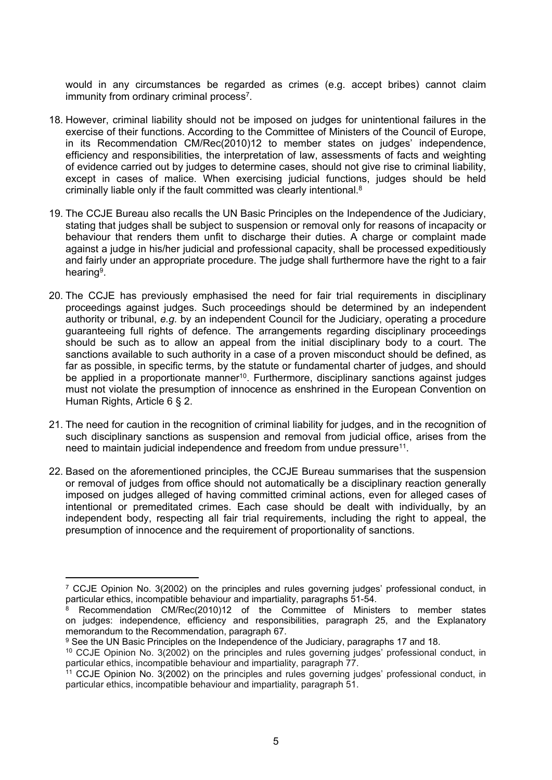would in any circumstances be regarded as crimes (e.g. accept bribes) cannot claim immunity from ordinary criminal process<sup>7</sup>.

- 18. However, criminal liability should not be imposed on judges for unintentional failures in the exercise of their functions. According to the Committee of Ministers of the Council of Europe, in its Recommendation CM/Rec(2010)12 to member states on judges' independence, efficiency and responsibilities, the interpretation of law, assessments of facts and weighting of evidence carried out by judges to determine cases, should not give rise to criminal liability, except in cases of malice. When exercising judicial functions, judges should be held criminally liable only if the fault committed was clearly intentional.<sup>8</sup>
- 19. The CCJE Bureau also recalls the UN Basic Principles on the Independence of the Judiciary, stating that judges shall be subject to suspension or removal only for reasons of incapacity or behaviour that renders them unfit to discharge their duties. A charge or complaint made against a judge in his/her judicial and professional capacity, shall be processed expeditiously and fairly under an appropriate procedure. The judge shall furthermore have the right to a fair hearing<sup>9</sup>.
- 20. The CCJE has previously emphasised the need for fair trial requirements in disciplinary proceedings against judges. Such proceedings should be determined by an independent authority or tribunal, *e.g.* by an independent Council for the Judiciary, operating a procedure guaranteeing full rights of defence. The arrangements regarding disciplinary proceedings should be such as to allow an appeal from the initial disciplinary body to a court. The sanctions available to such authority in a case of a proven misconduct should be defined, as far as possible, in specific terms, by the statute or fundamental charter of judges, and should be applied in a proportionate manner<sup>10</sup>. Furthermore, disciplinary sanctions against judges must not violate the presumption of innocence as enshrined in the European Convention on Human Rights, Article 6 § 2.
- 21. The need for caution in the recognition of criminal liability for judges, and in the recognition of such disciplinary sanctions as suspension and removal from judicial office, arises from the need to maintain judicial independence and freedom from undue pressure<sup>11</sup>.
- 22. Based on the aforementioned principles, the CCJE Bureau summarises that the suspension or removal of judges from office should not automatically be a disciplinary reaction generally imposed on judges alleged of having committed criminal actions, even for alleged cases of intentional or premeditated crimes. Each case should be dealt with individually, by an independent body, respecting all fair trial requirements, including the right to appeal, the presumption of innocence and the requirement of proportionality of sanctions.

<sup>7</sup> CCJE Opinion No. 3(2002) on the principles and rules governing judges' professional conduct, in particular ethics, incompatible behaviour and impartiality, paragraphs 51-54.

<sup>8</sup> Recommendation CM/Rec(2010)12 of the Committee of Ministers to member states on judges: independence, efficiency and responsibilities, paragraph 25, and the Explanatory memorandum to the Recommendation, paragraph 67.

<sup>&</sup>lt;sup>9</sup> See the UN Basic Principles on the Independence of the Judiciary, paragraphs 17 and 18.

<sup>10</sup> CCJE Opinion No. 3(2002) on the principles and rules governing judges' professional conduct, in particular ethics, incompatible behaviour and impartiality, paragraph 77.

<sup>&</sup>lt;sup>11</sup> CCJE Opinion No. 3(2002) on the principles and rules governing judges' professional conduct, in particular ethics, incompatible behaviour and impartiality, paragraph 51.